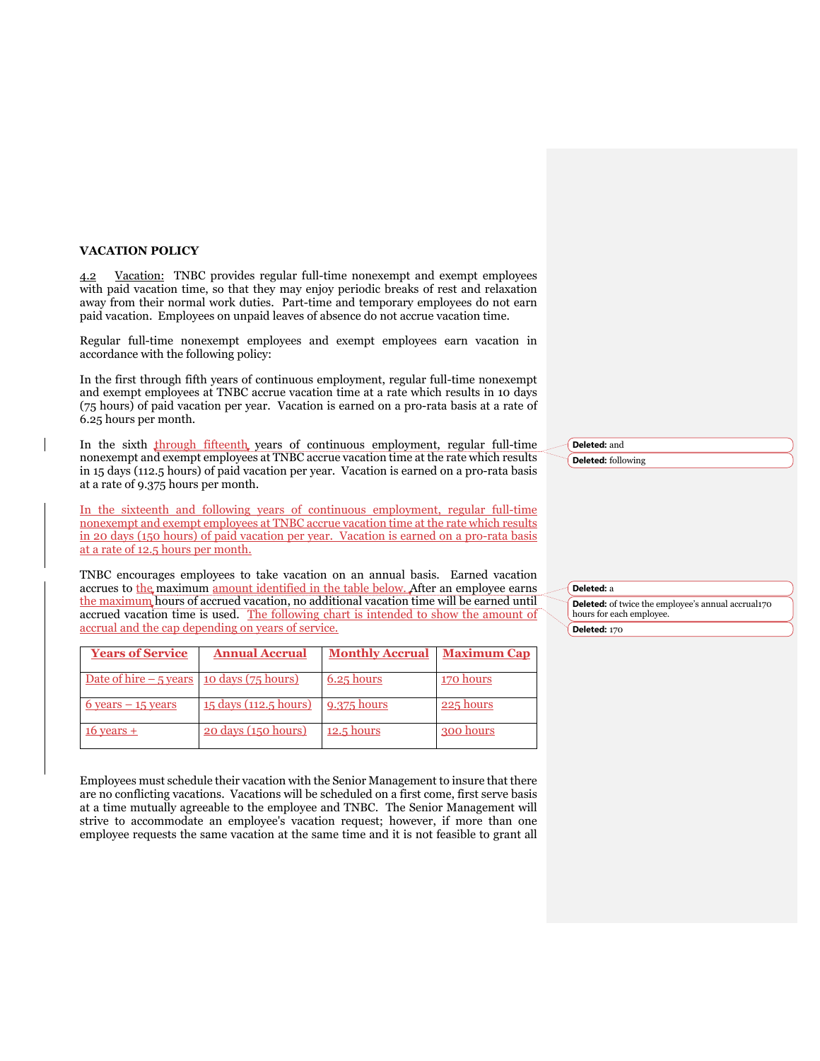## **VACATION POLICY**

4.2 Vacation: TNBC provides regular full-time nonexempt and exempt employees with paid vacation time, so that they may enjoy periodic breaks of rest and relaxation away from their normal work duties. Part-time and temporary employees do not earn paid vacation. Employees on unpaid leaves of absence do not accrue vacation time.

 Regular full-time nonexempt employees and exempt employees earn vacation in accordance with the following policy:

 In the first through fifth years of continuous employment, regular full-time nonexempt and exempt employees at TNBC accrue vacation time at a rate which results in 10 days (75 hours) of paid vacation per year. Vacation is earned on a pro-rata basis at a rate of 6.25 hours per month.

In the sixth through fifteenth, years of continuous employment, regular full-time nonexempt and exempt employees at TNBC accrue vacation time at the rate which results in 15 days (112.5 hours) of paid vacation per year. Vacation is earned on a pro-rata basis at a rate of 9.375 hours per month.

 In the sixteenth and following years of continuous employment, regular full-time nonexempt and exempt employees at TNBC accrue vacation time at the rate which results in 20 days (150 hours) of paid vacation per year. Vacation is earned on a pro-rata basis at a rate of 12.5 hours per month.

 TNBC encourages employees to take vacation on an annual basis. Earned vacation accrues to the maximum amount identified in the table below. After an employee earns the maximum hours of accrued vacation, no additional vacation time will be earned until accrued vacation time is used. The following chart is intended to show the amount of accrual and the cap depending on years of service.

| <b>Years of Service</b>                    | <b>Annual Accrual</b>        | <b>Monthly Accrual</b> | <b>Maximum Cap</b> |
|--------------------------------------------|------------------------------|------------------------|--------------------|
| Date of hire $-5$ years 10 days (75 hours) |                              | $6.25$ hours           | 170 hours          |
| $6$ years $-15$ years                      | <u>15 days (112.5 hours)</u> | 9.375 hours            | 225 hours          |
| $16$ years $+$                             | 20 days (150 hours)          | $12.5$ hours           | 300 hours          |

 Employees must schedule their vacation with the Senior Management to insure that there are no conflicting vacations. Vacations will be scheduled on a first come, first serve basis at a time mutually agreeable to the employee and TNBC. The Senior Management will strive to accommodate an employee's vacation request; however, if more than one employee requests the same vacation at the same time and it is not feasible to grant all **Deleted:** and **Deleted:** following

## **Deleted:** a

 **Deleted:** of twice the employee's annual accrual170 hours for each employee. **Deleted:** 170